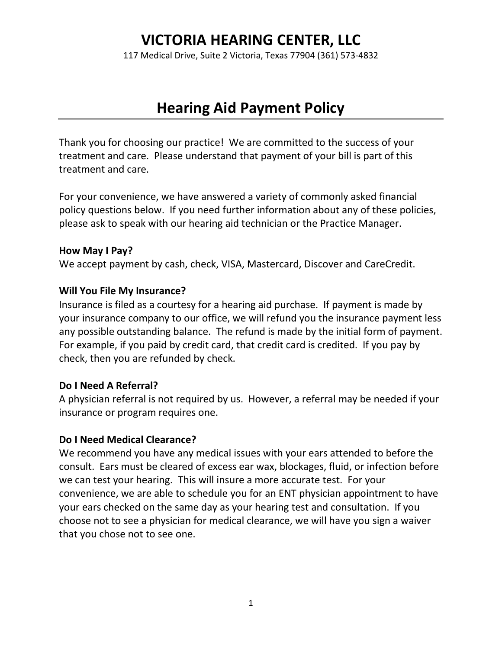# **VICTORIA HEARING CENTER, LLC**

117 Medical Drive, Suite 2 Victoria, Texas 77904 (361) 573-4832

# **Hearing Aid Payment Policy**

Thank you for choosing our practice! We are committed to the success of your treatment and care. Please understand that payment of your bill is part of this treatment and care.

For your convenience, we have answered a variety of commonly asked financial policy questions below. If you need further information about any of these policies, please ask to speak with our hearing aid technician or the Practice Manager.

#### **How May I Pay?**

We accept payment by cash, check, VISA, Mastercard, Discover and CareCredit.

#### **Will You File My Insurance?**

Insurance is filed as a courtesy for a hearing aid purchase. If payment is made by your insurance company to our office, we will refund you the insurance payment less any possible outstanding balance. The refund is made by the initial form of payment. For example, if you paid by credit card, that credit card is credited. If you pay by check, then you are refunded by check.

### **Do I Need A Referral?**

A physician referral is not required by us. However, a referral may be needed if your insurance or program requires one.

#### **Do I Need Medical Clearance?**

We recommend you have any medical issues with your ears attended to before the consult. Ears must be cleared of excess ear wax, blockages, fluid, or infection before we can test your hearing. This will insure a more accurate test. For your convenience, we are able to schedule you for an ENT physician appointment to have your ears checked on the same day as your hearing test and consultation. If you choose not to see a physician for medical clearance, we will have you sign a waiver that you chose not to see one.